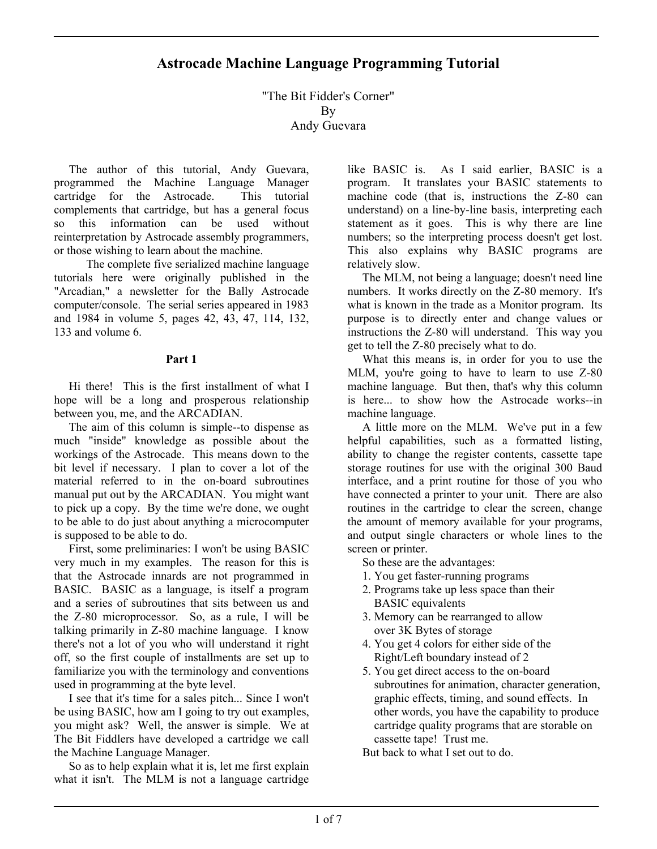# **Astrocade Machine Language Programming Tutorial**

"The Bit Fidder's Corner" By Andy Guevara

 The author of this tutorial, Andy Guevara, programmed the Machine Language Manager cartridge for the Astrocade. This tutorial complements that cartridge, but has a general focus so this information can be used without reinterpretation by Astrocade assembly programmers, or those wishing to learn about the machine.

 The complete five serialized machine language tutorials here were originally published in the "Arcadian," a newsletter for the Bally Astrocade computer/console. The serial series appeared in 1983 and 1984 in volume 5, pages 42, 43, 47, 114, 132, 133 and volume 6.

### **Part 1**

 Hi there! This is the first installment of what I hope will be a long and prosperous relationship between you, me, and the ARCADIAN.

 The aim of this column is simple--to dispense as much "inside" knowledge as possible about the workings of the Astrocade. This means down to the bit level if necessary. I plan to cover a lot of the material referred to in the on-board subroutines manual put out by the ARCADIAN. You might want to pick up a copy. By the time we're done, we ought to be able to do just about anything a microcomputer is supposed to be able to do.

 First, some preliminaries: I won't be using BASIC very much in my examples. The reason for this is that the Astrocade innards are not programmed in BASIC. BASIC as a language, is itself a program and a series of subroutines that sits between us and the Z-80 microprocessor. So, as a rule, I will be talking primarily in Z-80 machine language. I know there's not a lot of you who will understand it right off, so the first couple of installments are set up to familiarize you with the terminology and conventions used in programming at the byte level.

 I see that it's time for a sales pitch... Since I won't be using BASIC, how am I going to try out examples, you might ask? Well, the answer is simple. We at The Bit Fiddlers have developed a cartridge we call the Machine Language Manager.

 So as to help explain what it is, let me first explain what it isn't. The MLM is not a language cartridge like BASIC is. As I said earlier, BASIC is a program. It translates your BASIC statements to machine code (that is, instructions the Z-80 can understand) on a line-by-line basis, interpreting each statement as it goes. This is why there are line numbers; so the interpreting process doesn't get lost. This also explains why BASIC programs are relatively slow.

 The MLM, not being a language; doesn't need line numbers. It works directly on the Z-80 memory. It's what is known in the trade as a Monitor program. Its purpose is to directly enter and change values or instructions the Z-80 will understand. This way you get to tell the Z-80 precisely what to do.

 What this means is, in order for you to use the MLM, you're going to have to learn to use Z-80 machine language. But then, that's why this column is here... to show how the Astrocade works--in machine language.

 A little more on the MLM. We've put in a few helpful capabilities, such as a formatted listing, ability to change the register contents, cassette tape storage routines for use with the original 300 Baud interface, and a print routine for those of you who have connected a printer to your unit. There are also routines in the cartridge to clear the screen, change the amount of memory available for your programs, and output single characters or whole lines to the screen or printer.

- So these are the advantages:
- 1. You get faster-running programs
- 2. Programs take up less space than their BASIC equivalents
- 3. Memory can be rearranged to allow over 3K Bytes of storage
- 4. You get 4 colors for either side of the Right/Left boundary instead of 2
- 5. You get direct access to the on-board subroutines for animation, character generation, graphic effects, timing, and sound effects. In other words, you have the capability to produce cartridge quality programs that are storable on cassette tape! Trust me.

But back to what I set out to do.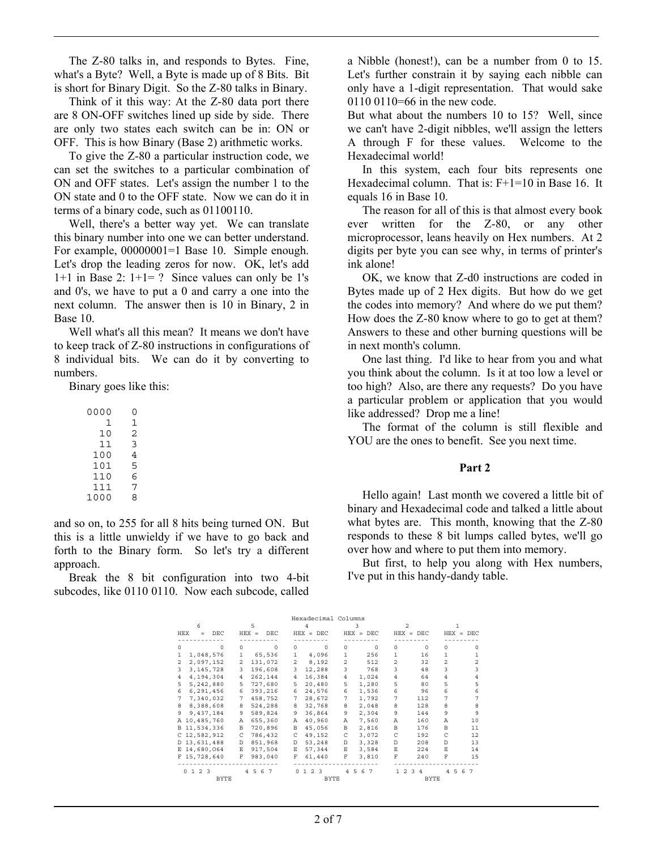The Z-80 talks in, and responds to Bytes. Fine, what's a Byte? Well, a Byte is made up of 8 Bits. Bit is short for Binary Digit. So the Z-80 talks in Binary.

 Think of it this way: At the Z-80 data port there are 8 ON-OFF switches lined up side by side. There are only two states each switch can be in: ON or OFF. This is how Binary (Base 2) arithmetic works.

 To give the Z-80 a particular instruction code, we can set the switches to a particular combination of ON and OFF states. Let's assign the number 1 to the ON state and 0 to the OFF state. Now we can do it in terms of a binary code, such as 01100110.

 Well, there's a better way yet. We can translate this binary number into one we can better understand. For example,  $00000001=1$  Base 10. Simple enough. Let's drop the leading zeros for now. OK, let's add 1+1 in Base 2:  $1+1=$  ? Since values can only be 1's and 0's, we have to put a 0 and carry a one into the next column. The answer then is 10 in Binary, 2 in Base 10.

 Well what's all this mean? It means we don't have to keep track of Z-80 instructions in configurations of 8 individual bits. We can do it by converting to numbers.

Binary goes like this:

| 0000 | O |
|------|---|
| 1    | 1 |
| 10   | 2 |
| 11   | 3 |
| 100  | 4 |
| 101  | 5 |
| 110  | 6 |
| 111  | 7 |
| 1000 | 8 |

and so on, to 255 for all 8 hits being turned ON. But this is a little unwieldy if we have to go back and forth to the Binary form. So let's try a different approach.

 Break the 8 bit configuration into two 4-bit subcodes, like 0110 0110. Now each subcode, called a Nibble (honest!), can be a number from 0 to 15. Let's further constrain it by saying each nibble can only have a 1-digit representation. That would sake 0110 0110=66 in the new code.

But what about the numbers 10 to 15? Well, since we can't have 2-digit nibbles, we'll assign the letters A through F for these values. Welcome to the Hexadecimal world!

 In this system, each four bits represents one Hexadecimal column. That is: F+1=10 in Base 16. It equals 16 in Base 10.

 The reason for all of this is that almost every book ever written for the Z-80, or any other microprocessor, leans heavily on Hex numbers. At 2 digits per byte you can see why, in terms of printer's ink alone!

 OK, we know that Z-d0 instructions are coded in Bytes made up of 2 Hex digits. But how do we get the codes into memory? And where do we put them? How does the Z-80 know where to go to get at them? Answers to these and other burning questions will be in next month's column.

 One last thing. I'd like to hear from you and what you think about the column. Is it at too low a level or too high? Also, are there any requests? Do you have a particular problem or application that you would like addressed? Drop me a line!

 The format of the column is still flexible and YOU are the ones to benefit. See you next time.

#### **Part 2**

 Hello again! Last month we covered a little bit of binary and Hexadecimal code and talked a little about what bytes are. This month, knowing that the Z-80 responds to these 8 bit lumps called bytes, we'll go over how and where to put them into memory.

 But first, to help you along with Hex numbers, I've put in this handy-dandy table.

| Hexadecimal Columns |                       |                |                |                |                                |                |                          |                      |                     |             |                |
|---------------------|-----------------------|----------------|----------------|----------------|--------------------------------|----------------|--------------------------|----------------------|---------------------|-------------|----------------|
|                     | 6                     |                | 5              |                |                                |                |                          | っ                    |                     |             |                |
| HEX                 | DEC<br>$=$            |                | $HER =$<br>DEC |                | $HEX = DEC$                    | $HEX =$        | DEC.                     |                      | $HEX = DEC$         |             | $HEX = DEC$    |
|                     |                       |                |                |                |                                |                |                          |                      |                     |             |                |
| $\Omega$            | $\Omega$              | $\cap$         | $\Omega$       | $\cap$         | $\Omega$                       | $\cap$         | $\Omega$                 | $\Omega$             | $\Omega$            | $\Omega$    | $\Omega$       |
| 1                   | 1,048,576             | 1              | 65,536         | 1              | 4,096                          | 1              | 256                      | 1                    | 16                  | 1.          | 1              |
| $\overline{a}$      | 2,097,152             | $\overline{a}$ | 131,072        | $\overline{a}$ | 8,192                          | $\overline{a}$ | 512                      | $\mathfrak{p}$       | 32                  | 2           | $\mathfrak{D}$ |
| 3                   | 3, 145, 728           | 3              | 196,608        | 3              | 12,288                         | 3              | 768                      | 3                    | 48                  | 3           | 3              |
| 4                   | 4,194,304             | 4              | 262,144        | 4              | 16,384                         | 4              | 1,024                    | 4                    | 64                  | 4           | 4              |
| 5                   | 5,242,880             | 5              | 727,680        | 5              | 20,480                         | 5              | 1,280                    | 5                    | 80                  | 5           | 5              |
| 6                   | 6,291,456             | 6              | 393,216        | 6              | 24.576                         | 6              | 1,536                    | 6                    | 96                  | 6           | 6              |
| 7                   | 7,340,032             | 7              | 458,752        | 7              | 28,672                         | 7              | 1,792                    | 7                    | 112                 | 7           | 7              |
| 8                   | 8,388,608             | 8              | 524,288        | 8              | 32,768                         | 8              | 2,048                    | 8                    | 128                 | 8           | 8              |
| 9                   | 9,437,184             | 9              | 589,824        | 9              | 36,864                         | 9              | 2,304                    | 9                    | 144                 | 9           | 9              |
|                     | A 10,485,760          | Α              | 655,360        | Α              | 40,960                         | A              | 7,560                    | Α                    | 160                 | Α           | 10             |
|                     | B 11,534,336          | B              | 720,896        | В              | 45,056                         | В              | 2,816                    | B                    | 176                 | B           | 11             |
|                     | $C$ 12,582,912        | C              | 786,432        | C              | 49,152                         | C              | 3,072                    | C                    | 192                 | C           | $12 \,$        |
|                     | D 13,631,488          | <sup>D</sup>   | 851,968        | D.             | 53,248                         | D              | 3,328                    | D.                   | 208                 | D.          | 13             |
|                     | E 14,680,064          | Ε              | 917,504        | $\mathbf E$    | 57,344                         | E.             | 3,584                    | E.                   | 224                 | E           | 14             |
|                     | F 15,728,640          | F              | 983,040        | F              | 61,440                         | F              | 3,810                    | F                    | 240                 | $\mathbf F$ | 15             |
|                     |                       |                |                |                |                                |                |                          |                      |                     |             |                |
|                     | 2 3<br>0 <sub>1</sub> | $\overline{4}$ | 6<br>-5<br>7   | $\cap$         | 2 <sup>3</sup><br>$\mathbf{1}$ | 4              | 5<br>6<br>$\overline{7}$ | $\mathfrak{D}$<br>1. | 3<br>$\overline{4}$ | 5<br>4      | 6<br>7         |
|                     | <b>BYTE</b>           |                |                |                | <b>BYTE</b>                    |                |                          |                      | <b>BYTE</b>         |             |                |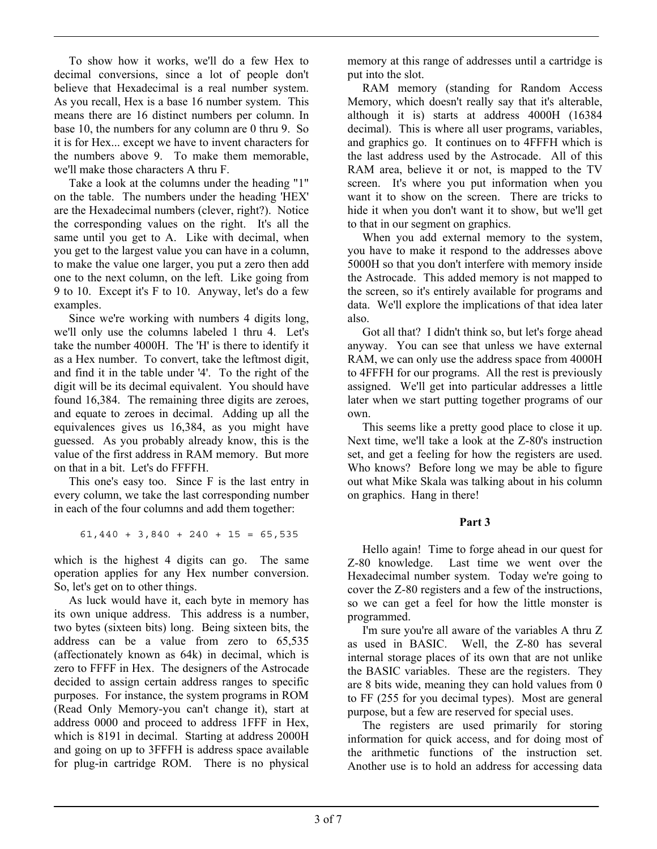To show how it works, we'll do a few Hex to decimal conversions, since a lot of people don't believe that Hexadecimal is a real number system. As you recall, Hex is a base 16 number system. This means there are 16 distinct numbers per column. In base 10, the numbers for any column are 0 thru 9. So it is for Hex... except we have to invent characters for the numbers above 9. To make them memorable, we'll make those characters A thru F.

 Take a look at the columns under the heading "1" on the table. The numbers under the heading 'HEX' are the Hexadecimal numbers (clever, right?). Notice the corresponding values on the right. It's all the same until you get to A. Like with decimal, when you get to the largest value you can have in a column, to make the value one larger, you put a zero then add one to the next column, on the left. Like going from 9 to 10. Except it's F to 10. Anyway, let's do a few examples.

 Since we're working with numbers 4 digits long, we'll only use the columns labeled 1 thru 4. Let's take the number 4000H. The 'H' is there to identify it as a Hex number. To convert, take the leftmost digit, and find it in the table under '4'. To the right of the digit will be its decimal equivalent. You should have found 16,384. The remaining three digits are zeroes, and equate to zeroes in decimal. Adding up all the equivalences gives us 16,384, as you might have guessed. As you probably already know, this is the value of the first address in RAM memory. But more on that in a bit. Let's do FFFFH.

 This one's easy too. Since F is the last entry in every column, we take the last corresponding number in each of the four columns and add them together:

 $61,440 + 3,840 + 240 + 15 = 65,535$ 

which is the highest 4 digits can go. The same operation applies for any Hex number conversion. So, let's get on to other things.

 As luck would have it, each byte in memory has its own unique address. This address is a number, two bytes (sixteen bits) long. Being sixteen bits, the address can be a value from zero to 65,535 (affectionately known as 64k) in decimal, which is zero to FFFF in Hex. The designers of the Astrocade decided to assign certain address ranges to specific purposes. For instance, the system programs in ROM (Read Only Memory-you can't change it), start at address 0000 and proceed to address 1FFF in Hex, which is 8191 in decimal. Starting at address 2000H and going on up to 3FFFH is address space available for plug-in cartridge ROM. There is no physical memory at this range of addresses until a cartridge is put into the slot.

 RAM memory (standing for Random Access Memory, which doesn't really say that it's alterable, although it is) starts at address 4000H (16384 decimal). This is where all user programs, variables, and graphics go. It continues on to 4FFFH which is the last address used by the Astrocade. All of this RAM area, believe it or not, is mapped to the TV screen. It's where you put information when you want it to show on the screen. There are tricks to hide it when you don't want it to show, but we'll get to that in our segment on graphics.

 When you add external memory to the system, you have to make it respond to the addresses above 5000H so that you don't interfere with memory inside the Astrocade. This added memory is not mapped to the screen, so it's entirely available for programs and data. We'll explore the implications of that idea later also.

 Got all that? I didn't think so, but let's forge ahead anyway. You can see that unless we have external RAM, we can only use the address space from 4000H to 4FFFH for our programs. All the rest is previously assigned. We'll get into particular addresses a little later when we start putting together programs of our own.

 This seems like a pretty good place to close it up. Next time, we'll take a look at the Z-80's instruction set, and get a feeling for how the registers are used. Who knows? Before long we may be able to figure out what Mike Skala was talking about in his column on graphics. Hang in there!

## **Part 3**

 Hello again! Time to forge ahead in our quest for Z-80 knowledge. Last time we went over the Hexadecimal number system. Today we're going to cover the Z-80 registers and a few of the instructions, so we can get a feel for how the little monster is programmed.

 I'm sure you're all aware of the variables A thru Z as used in BASIC. Well, the Z-80 has several internal storage places of its own that are not unlike the BASIC variables. These are the registers. They are 8 bits wide, meaning they can hold values from 0 to FF (255 for you decimal types). Most are general purpose, but a few are reserved for special uses.

 The registers are used primarily for storing information for quick access, and for doing most of the arithmetic functions of the instruction set. Another use is to hold an address for accessing data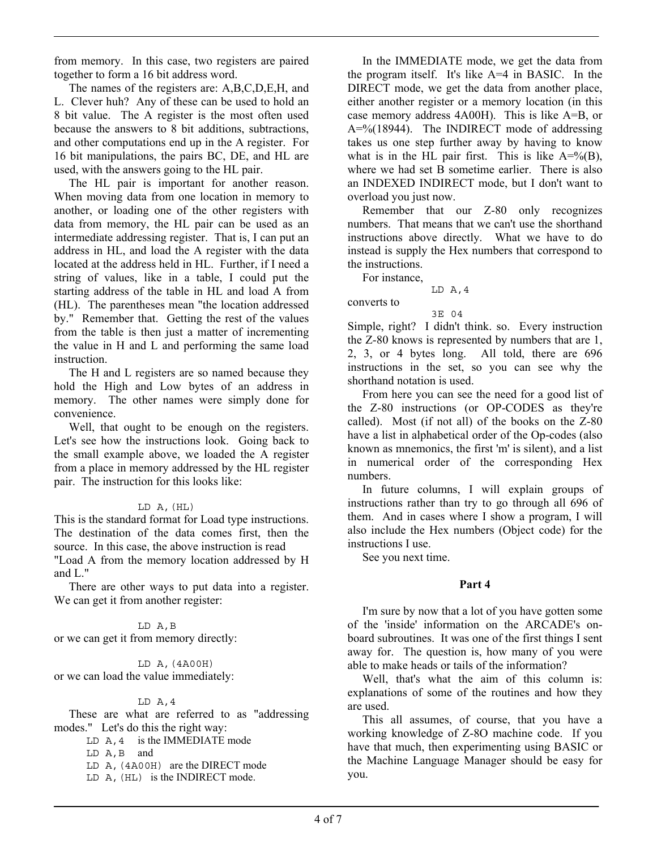from memory. In this case, two registers are paired together to form a 16 bit address word.

 The names of the registers are: A,B,C,D,E,H, and L. Clever huh? Any of these can be used to hold an 8 bit value. The A register is the most often used because the answers to 8 bit additions, subtractions, and other computations end up in the A register. For 16 bit manipulations, the pairs BC, DE, and HL are used, with the answers going to the HL pair.

 The HL pair is important for another reason. When moving data from one location in memory to another, or loading one of the other registers with data from memory, the HL pair can be used as an intermediate addressing register. That is, I can put an address in HL, and load the A register with the data located at the address held in HL. Further, if I need a string of values, like in a table, I could put the starting address of the table in HL and load A from (HL). The parentheses mean "the location addressed by." Remember that. Getting the rest of the values from the table is then just a matter of incrementing the value in H and L and performing the same load instruction.

 The H and L registers are so named because they hold the High and Low bytes of an address in memory. The other names were simply done for convenience.

 Well, that ought to be enough on the registers. Let's see how the instructions look. Going back to the small example above, we loaded the A register from a place in memory addressed by the HL register pair. The instruction for this looks like:

#### $LD A, (HL)$

This is the standard format for Load type instructions. The destination of the data comes first, then the source. In this case, the above instruction is read "Load A from the memory location addressed by H

and L."

 There are other ways to put data into a register. We can get it from another register:

LD A,B

or we can get it from memory directly:

 LD A,(4A00H) or we can load the value immediately:

#### $LD A, 4$

 These are what are referred to as "addressing modes." Let's do this the right way:

 $LD A, 4$  is the IMMEDIATE mode

LD A,B and

LD A,(4A00H) are the DIRECT mode

LD A,(HL) is the INDIRECT mode.

 In the IMMEDIATE mode, we get the data from the program itself. It's like A=4 in BASIC. In the DIRECT mode, we get the data from another place, either another register or a memory location (in this case memory address 4A00H). This is like A=B, or A=%(18944). The INDIRECT mode of addressing takes us one step further away by having to know what is in the HL pair first. This is like  $A=^{6}(B)$ , where we had set B sometime earlier. There is also an INDEXED INDIRECT mode, but I don't want to overload you just now.

 Remember that our Z-80 only recognizes numbers. That means that we can't use the shorthand instructions above directly. What we have to do instead is supply the Hex numbers that correspond to the instructions.

For instance,

converts to

LD A,4

# 3E 04

Simple, right? I didn't think. so. Every instruction the Z-80 knows is represented by numbers that are 1, 2, 3, or 4 bytes long. All told, there are 696 instructions in the set, so you can see why the shorthand notation is used.

 From here you can see the need for a good list of the Z-80 instructions (or OP-CODES as they're called). Most (if not all) of the books on the Z-80 have a list in alphabetical order of the Op-codes (also known as mnemonics, the first 'm' is silent), and a list in numerical order of the corresponding Hex numbers.

 In future columns, I will explain groups of instructions rather than try to go through all 696 of them. And in cases where I show a program, I will also include the Hex numbers (Object code) for the instructions I use.

See you next time.

## **Part 4**

 I'm sure by now that a lot of you have gotten some of the 'inside' information on the ARCADE's onboard subroutines. It was one of the first things I sent away for. The question is, how many of you were able to make heads or tails of the information?

 Well, that's what the aim of this column is: explanations of some of the routines and how they are used.

 This all assumes, of course, that you have a working knowledge of Z-8O machine code. If you have that much, then experimenting using BASIC or the Machine Language Manager should be easy for you.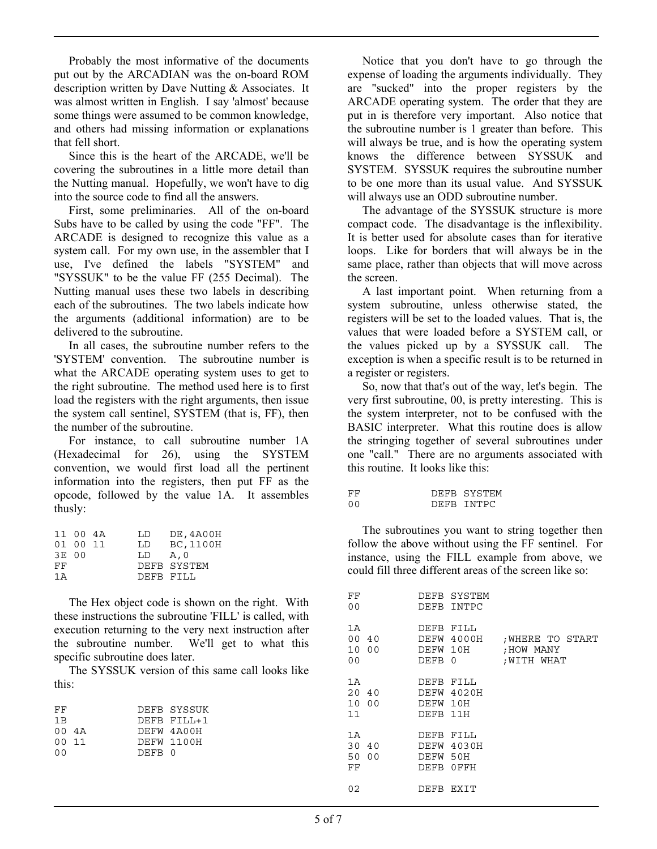Probably the most informative of the documents put out by the ARCADIAN was the on-board ROM description written by Dave Nutting & Associates. It was almost written in English. I say 'almost' because some things were assumed to be common knowledge, and others had missing information or explanations that fell short.

 Since this is the heart of the ARCADE, we'll be covering the subroutines in a little more detail than the Nutting manual. Hopefully, we won't have to dig into the source code to find all the answers.

 First, some preliminaries. All of the on-board Subs have to be called by using the code "FF". The ARCADE is designed to recognize this value as a system call. For my own use, in the assembler that I use, I've defined the labels "SYSTEM" and "SYSSUK" to be the value FF (255 Decimal). The Nutting manual uses these two labels in describing each of the subroutines. The two labels indicate how the arguments (additional information) are to be delivered to the subroutine.

 In all cases, the subroutine number refers to the 'SYSTEM' convention. The subroutine number is what the ARCADE operating system uses to get to the right subroutine. The method used here is to first load the registers with the right arguments, then issue the system call sentinel, SYSTEM (that is, FF), then the number of the subroutine.

 For instance, to call subroutine number 1A (Hexadecimal for 26), using the SYSTEM convention, we would first load all the pertinent information into the registers, then put FF as the opcode, followed by the value 1A. It assembles thusly:

|       | 11 00 4A | LD        | DE, 4A00H   |
|-------|----------|-----------|-------------|
|       | 01 00 11 | T.D.      | BC, 1100H   |
| 3E 00 |          | LD        | A.O         |
| FF    |          |           | DEFB SYSTEM |
| 1 A   |          | DEFB FILL |             |

 The Hex object code is shown on the right. With these instructions the subroutine 'FILL' is called, with execution returning to the very next instruction after the subroutine number. We'll get to what this specific subroutine does later.

 The SYSSUK version of this same call looks like this:

| FF         |        | DEFB SYSSUK |
|------------|--------|-------------|
| 1B         |        | DEFB FILL+1 |
| $00 \t 4A$ |        | DEFW 4A00H  |
| 00 11      |        | DEFW 1100H  |
| n n        | DEFB 0 |             |

 Notice that you don't have to go through the expense of loading the arguments individually. They are "sucked" into the proper registers by the ARCADE operating system. The order that they are put in is therefore very important. Also notice that the subroutine number is 1 greater than before. This will always be true, and is how the operating system knows the difference between SYSSUK and SYSTEM. SYSSUK requires the subroutine number to be one more than its usual value. And SYSSUK will always use an ODD subroutine number.

 The advantage of the SYSSUK structure is more compact code. The disadvantage is the inflexibility. It is better used for absolute cases than for iterative loops. Like for borders that will always be in the same place, rather than objects that will move across the screen.

 A last important point. When returning from a system subroutine, unless otherwise stated, the registers will be set to the loaded values. That is, the values that were loaded before a SYSTEM call, or the values picked up by a SYSSUK call. The exception is when a specific result is to be returned in a register or registers.

 So, now that that's out of the way, let's begin. The very first subroutine, 00, is pretty interesting. This is the system interpreter, not to be confused with the BASIC interpreter. What this routine does is allow the stringing together of several subroutines under one "call." There are no arguments associated with this routine. It looks like this:

| FF             | DEFB SYSTEM |
|----------------|-------------|
| 0 <sub>0</sub> | DEFB INTPC  |

 The subroutines you want to string together then follow the above without using the FF sentinel. For instance, using the FILL example from above, we could fill three different areas of the screen like so:

| FF<br>0 <sub>0</sub>          |       |                                     | DEFB SYSTEM<br>DEFB INTPC        |                                            |
|-------------------------------|-------|-------------------------------------|----------------------------------|--------------------------------------------|
| 1A<br>10 00<br>0 <sub>0</sub> | 00 40 | DEFB<br>DEFW 10H<br>DEFB            | FILL<br>DEFW 4000H<br>0          | WHERE TO START;<br>HOW MANY;<br>WITH WHAT: |
| 1A<br>20 40<br>11             | 10 00 | DEFB<br>DE FW<br>DEFB               | FILL<br>DEFW 4020H<br>10H<br>11H |                                            |
| 1A<br>30<br>50 00<br>FF       | -40   | <b>DEFB</b><br>DEFW<br>DEFW<br>DEFB | FILL<br>4030H<br>50H<br>0FFH     |                                            |
| 02                            |       | DEFB                                | EXIT                             |                                            |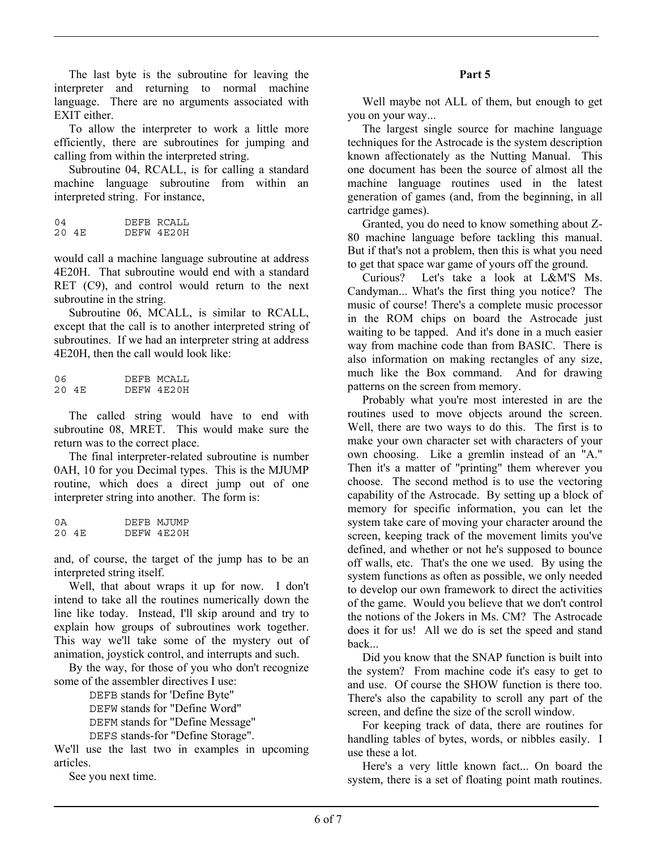The last byte is the subroutine for leaving the interpreter and returning to normal machine language. There are no arguments associated with EXIT either.

 To allow the interpreter to work a little more efficiently, there are subroutines for jumping and calling from within the interpreted string.

 Subroutine 04, RCALL, is for calling a standard machine language subroutine from within an interpreted string. For instance,

| 04 |       | DEFB RCALL |
|----|-------|------------|
|    | 20 4E | DEFW 4E20H |

would call a machine language subroutine at address 4E20H. That subroutine would end with a standard RET (C9), and control would return to the next subroutine in the string.

 Subroutine 06, MCALL, is similar to RCALL, except that the call is to another interpreted string of subroutines. If we had an interpreter string at address 4E20H, then the call would look like:

06 DEFB MCALL<br>20 4E DEFW 4E20H DEFW 4E20H

 The called string would have to end with subroutine 08, MRET. This would make sure the return was to the correct place.

 The final interpreter-related subroutine is number 0AH, 10 for you Decimal types. This is the MJUMP routine, which does a direct jump out of one interpreter string into another. The form is:

| 0Ā |       |  | DEFB MJUMP |
|----|-------|--|------------|
|    | 20 4E |  | DEFW 4E20H |

and, of course, the target of the jump has to be an interpreted string itself.

 Well, that about wraps it up for now. I don't intend to take all the routines numerically down the line like today. Instead, I'll skip around and try to explain how groups of subroutines work together. This way we'll take some of the mystery out of animation, joystick control, and interrupts and such.

 By the way, for those of you who don't recognize some of the assembler directives I use:

 DEFB stands for 'Define Byte" DEFW stands for "Define Word" DEFM stands for "Define Message" DEFS stands-for "Define Storage".

We'll use the last two in examples in upcoming articles.

See you next time.

### **Part 5**

 Well maybe not ALL of them, but enough to get you on your way...

 The largest single source for machine language techniques for the Astrocade is the system description known affectionately as the Nutting Manual. This one document has been the source of almost all the machine language routines used in the latest generation of games (and, from the beginning, in all cartridge games).

 Granted, you do need to know something about Z-80 machine language before tackling this manual. But if that's not a problem, then this is what you need to get that space war game of yours off the ground.

 Curious? Let's take a look at L&M'S Ms. Candyman... What's the first thing you notice? The music of course! There's a complete music processor in the ROM chips on board the Astrocade just waiting to be tapped. And it's done in a much easier way from machine code than from BASIC. There is also information on making rectangles of any size, much like the Box command. And for drawing patterns on the screen from memory.

 Probably what you're most interested in are the routines used to move objects around the screen. Well, there are two ways to do this. The first is to make your own character set with characters of your own choosing. Like a gremlin instead of an "A." Then it's a matter of "printing" them wherever you choose. The second method is to use the vectoring capability of the Astrocade. By setting up a block of memory for specific information, you can let the system take care of moving your character around the screen, keeping track of the movement limits you've defined, and whether or not he's supposed to bounce off walls, etc. That's the one we used. By using the system functions as often as possible, we only needed to develop our own framework to direct the activities of the game. Would you believe that we don't control the notions of the Jokers in Ms. CM? The Astrocade does it for us! All we do is set the speed and stand back...

 Did you know that the SNAP function is built into the system? From machine code it's easy to get to and use. Of course the SHOW function is there too. There's also the capability to scroll any part of the screen, and define the size of the scroll window.

 For keeping track of data, there are routines for handling tables of bytes, words, or nibbles easily. I use these a lot.

 Here's a very little known fact... On board the system, there is a set of floating point math routines.